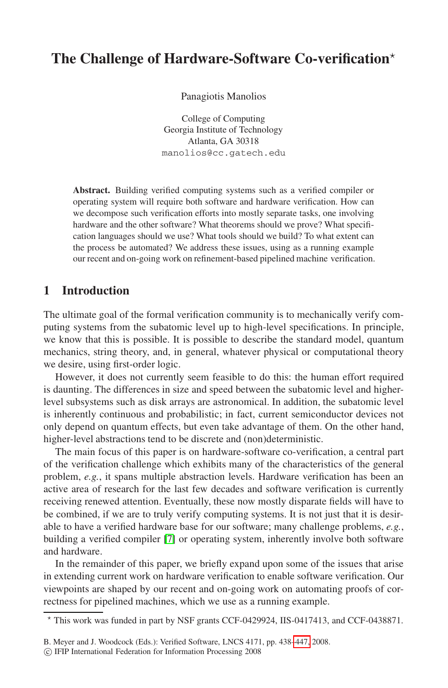# **The Challenge of Hardware-Software Co-verification**-

Panagiotis Manolios

College of Computing Georgia Institute of Technology Atlanta, GA 30318 manolios@cc.gatech.edu

**Abstract.** Building verified computing systems such as a verified compiler or operating system will require both software and hardware verification. How can we decompose such verification efforts into mostly separate tasks, one involving hardware and the other software? What theorems should we prove? What specification languages should we use? What tools should we build? To what extent can the process be automated? We address these issues, using as a running example our recent and on-going work on refinement-based pipelined machine verification.

# **1 Introduction**

The ultimate goal of the formal verification community is to mechanically verify computing systems from the subatomic level up to high-level specifications. In principle, we know that this is possible. It is possible to describe the standard model, quantum mechanics, string theory, and, in general, whatever physical or computational theory we desire, using first-order logic.

However, it does not currently seem feasible to do this: the human effort required is daunting. The differences in size and speed between the subatomic level and higherlevel subsystems such as disk arrays are astronomical. In addition, the subatomic level is inherently continuous and probabilistic; in fact, current semiconductor devices not only depend on quantum effects, but even take advantage of them. On the other hand, higher-l[eve](#page-8-0)l abstractions tend to be discrete and (non)deterministic.

The main focus of this paper is on hardware-software co-verification, a central part of the verification challenge which exhibits many of the characteristics of the general problem, *e.g.*, it spans multiple abstraction levels. Hardware verification has been an active area of research for the last few decades and software verification is currently receiving renewed attention. Eventually, these now mostly disparate fields will have to be combined, if we are to truly verify computing systems. It is not just that it is desirable to have a verified hardware base for our software; many challenge problems, *e.g.*, building a verified compiler [7] or ope[ratin](#page-9-0)g system, inherently involve both software and hardware.

In the remainder of this paper, we briefly expand upon some of the issues that arise in extending current work on hardware verification to enable software verification. Our viewpoints are shaped by our recent and on-going work on automating proofs of correctness for pipelined machines, which we use as a running example.

<sup>-</sup> This work was funded in part by NSF grants CCF-0429924, IIS-0417413, and CCF-0438871.

B. Meyer and J. Woodcock (Eds.): Verified Software, LNCS 4171, pp. 438–447, 2008.

 $\odot$  IFIP International Federation for Information Processing 2008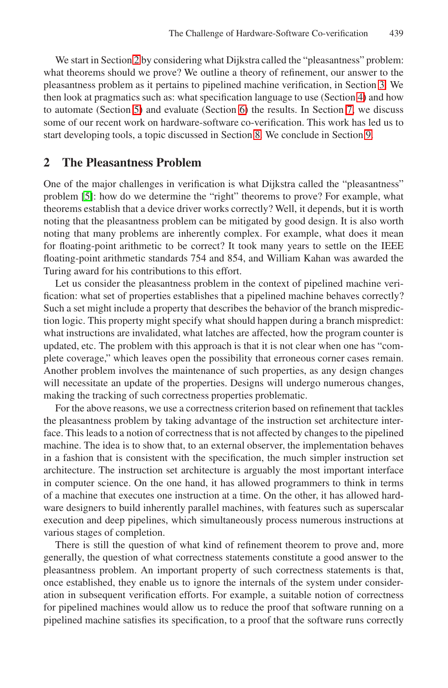<span id="page-1-0"></span>We start in Section 2 by considering what Dijkstra called the "pleasantness" problem: what theorems should we prove? We outline a theory of refinement, our answer to the pleasantness problem as it pertains to pipelined machine verification, in Section 3. We then look at pragmatics such as: what specification language to use (Section 4) and how to automate (Section 5) and evaluate (Section 6) the results. In Section 7, we discuss some of our recent work on hardware-software co-verification. This work has led us to start developing tools, a topic discussed in Section 8. We conclude in Section 9.

# **2 The Pleasantness Problem**

One of the major challenges in verification is what Dijkstra called the "pleasantness" problem [5]: how do we determine the "right" theorems to prove? For example, what theorems establish that a device driver works correctly? Well, it depends, but it is worth noting that the pleasantness problem can be mitigated by good design. It is also worth noting that many problems are inherently complex. For example, what does it mean for floating-point arithmetic to be correct? It took many years to settle on the IEEE floating-point arithmetic standards 754 and 854, and William Kahan was awarded the Turing award for his contributions to this effort.

Let us consider the pleasantness problem in the context of pipelined machine verification: what set of properties establishes that a pipelined machine behaves correctly? Such a set might include a property that describes the behavior of the branch misprediction logic. This property might specify what should happen during a branch mispredict: what instructions are invalidated, what latches are affected, how the program counter is updated, etc. The problem with this approach is that it is not clear when one has "complete coverage," which leaves open the possibility that erroneous corner cases remain. Another problem involves the maintenance of such properties, as any design changes will necessitate an update of the properties. Designs will undergo numerous changes, making the tracking of such correctness properties problematic.

For the above reasons, we use a correctness criterion based on refinement that tackles the pleasantness problem by taking advantage of the instruction set architecture interface. This leads to a notion of correctness that is not affected by changes to the pipelined machine. The idea is to show that, to an external observer, the implementation behaves in a fashion that is consistent with the specification, the much simpler instruction set architecture. The instruction set architecture is arguably the most important interface in computer science. On the one hand, it has allowed programmers to think in terms of a machine that executes one instruction at a time. On the other, it has allowed hardware designers to build inherently parallel machines, with features such as superscalar execution and deep pipelines, which simultaneously process numerous instructions at various stages of completion.

There is still the question of what kind of refinement theorem to prove and, more generally, the question of what correctness statements constitute a good answer to the pleasantness problem. An important property of such correctness statements is that, once established, they enable us to ignore the internals of the system under consideration in subsequent verification efforts. For example, a suitable notion of correctness for pipelined machines would allow us to reduce the proof that software running on a pipelined machine satisfies its specification, to a proof that the software runs correctly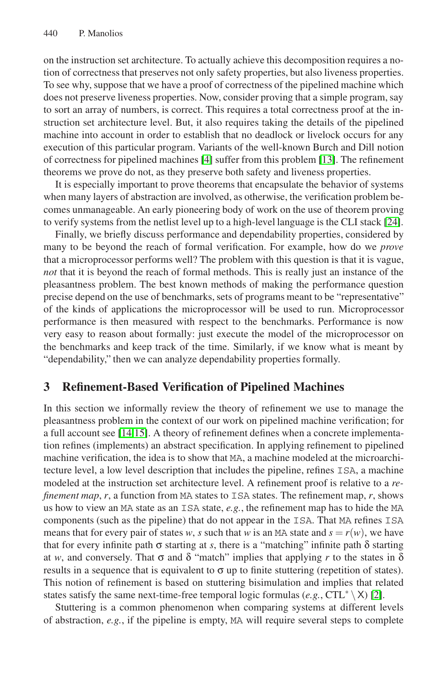on the instruction [se](#page-8-2)t architecture. To actually [ach](#page-8-3)ieve this decomposition requires a notion of correctness that preserves not only safety properties, but also liveness properties. To see why, suppose that we have a proof of correctness of the pipelined machine which does not preserve liveness properties. Now, consider proving that a simple program, say to sort an array of numbers, is correct. This requires a total correctness proof at the instruction set architecture level. But, it also requires taking th[e de](#page-9-1)tails of the pipelined machine into account in order to establish that no deadlock or livelock occurs for any execution of this particular program. Variants of the well-known Burch and Dill notion of correctness for pipelined machines [4] suffer from this problem [13]. The refinement theorems we prove do not, as they preserve both safety and liveness properties.

It is especially important to prove theorems that encapsulate the behavior of systems when many layers of abstraction are involved, as otherwise, the verification problem becomes unmanageable. An early pioneering body of work on the use of theorem proving to verify systems from the netlist level up to a high-level language is the CLI stack [24].

Finally, we briefly discuss performance and dependability properties, considered by many to be beyond the reach of formal verification. For example, how do we *prove* that a microprocessor performs well? The problem with this question is that it is vague, *not* that it is beyond the reach of formal methods. This is really just an instance of the pleasantness problem. The best known methods of making the performance question precise depend on the use of benchmarks, sets of programs meant to be "representative" of the kinds of applications the microprocessor will be used to run. Microprocessor performance is then measured with respect to the benchmarks. Performance is now [v](#page-9-2)[ery](#page-9-3) easy to reason about formally: just execute the model of the microprocessor on the benchmarks and keep track of the time. Similarly, if we know what is meant by "dependability," then we can analyze dependability properties formally.

## **3 Refinement-Based Verification of Pipelined Machines**

In this section we informally review the theory of refinement we use to manage the pleasantness problem in the context of our work on pipelined machine verification; for a full account see [14,15]. A theory of refinement defines when a concrete implementation refines (implements) an abstract specification. In applying refinement to pipelined machine verification, the idea is to show that MA, a machine modeled at the microarchitecture level, a low level description that includes the pipeline, refines ISA, a machine modeled at the instruction set architecture level. A refinement proof is relative to a *refinement map*, *r*, a function from MA states to ISA states. T[he](#page-8-4) refinement map, *r*, shows us how to view an MA state as an ISA state, *e.g.*, the refinement map has to hide the MA components (such as the pipeline) that do not appear in the ISA. That MA refines ISA means that for every pair of states *w*, *s* such that *w* is an MA state and  $s = r(w)$ , we have that for every infinite path σ starting at *s*, there is a "matching" infinite path δ starting at *w*, and conversely. That σ and δ "match" implies that applying *r* to the states in δ results in a sequence that is equivalent to  $\sigma$  up to finite stuttering (repetition of states). This notion of refinement is based on stuttering bisimulation and implies that related states satisfy the same next-time-free temporal logic formulas (*e.g.*,  $CTL^* \setminus X$ ) [2].

Stuttering is a common phenomenon when comparing systems at different levels of abstraction, *e.g.*, if the pipeline is empty, MA will require several steps to complete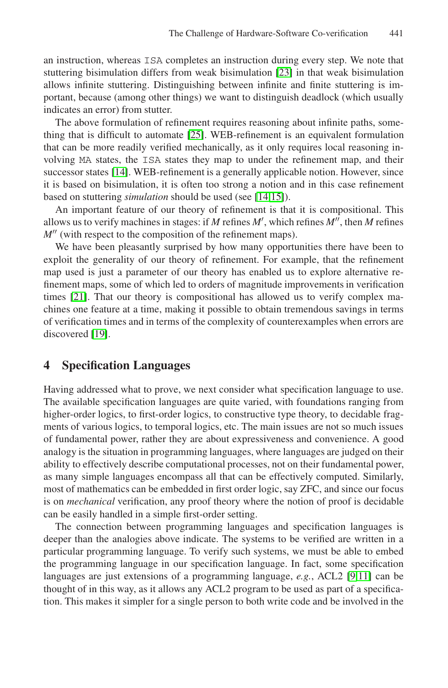an instruction, whereas ISA completes an instruction during every step. We note that stuttering bisimulation differs from weak bisimulation [23] in that weak bisimulation allows infinite stuttering. Distinguishing between infinite and finite stuttering is important, because (among other [thi](#page-9-2)[ngs](#page-9-3)) we want to distinguish deadlock (which usually indicates an error) from stutter.

The above formulation of refinement requires reasoning about infinite paths, something that is difficult to automate [25]. WEB-refinement is an equivalent formulation that can be more readily verified mechanically, as it only requires local reasoning involving MA states, the ISA states they map to under the refinement map, and their successor states [14]. WEB-refinement is a generally applicable notion. However, since it is based on bisimulation, it is often too strong a notion and in this case refinement based on stuttering *simulation* should be used (see [14,15]).

An important feature of our theory of refinement is that it is compositional. This allows us to verify machines in stages: if *M* refines  $M'$ , which refines  $M''$ , then *M* refines  $M''$  (with respect to the composition of the refinement maps).

We have been pleasantly surprised by how many opportunities there have been to exploit the generality of our theory of refinement. For example, that the refinement map used is just a parameter of our theory has enabled us to explore alternative refinement maps, some of which led to orders of magnitude improvements in verification times [21]. That our theory is compositional has allowed us to verify complex machines one feature at a time, making it possible to obtain tremendous savings in terms of verification times and in terms of the complexity of counterexamples when errors are discovered [19].

## **4 Specification Languages**

Having addressed what to prove, we next consider what specification language to use. The available specification languages are quite varied, with foundations ranging from higher-order logics, to first-order logics, to constructive type theory, to decidable fragments of various logics, to temporal logics, etc. The main issues are not so much issues of fundamental power, rather they are about expressiveness and convenience. A good analogy is the situation in programming languages, where languages are judged on their ability to effectively describe computational processes, not on their fundamental power, as many simple languages encompass all that can b[e](#page-8-5) [effe](#page-8-6)ctively computed. Similarly, most of mathematics can be embedded in first order logic, say ZFC, and since our focus is on *mechanical* verification, any proof theory where the notion of proof is decidable can be easily handled in a simple first-order setting.

The connection between programming languages and specification languages is deeper than the analogies above indicate. The systems to be verified are written in a particular programming language. To verify such systems, we must be able to embed the programming language in our specification language. In fact, some specification languages are just extensions of a programming language, *e.g.*, ACL2 [9,11] can be thought of in this way, as it allows any ACL2 program to be used as part of a specification. This makes it simpler for a single person to both write code and be involved in the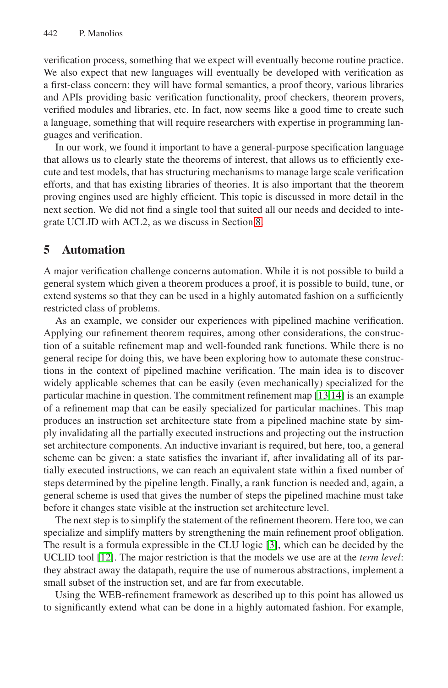verification process, something that we expect will eventually become routine practice. We also expect that new languages will eventually be developed with verification as a first-class concern: they will have formal semantics, a proof theory, various libraries and APIs providing basic verification functionality, proof checkers, theorem provers, verified modules and libraries, etc. In fact, now seems like a good time to create such a language, something that wi[ll r](#page-7-0)equire researchers with expertise in programming languages and verification.

In our work, we found it important to have a general-purpose specification language that allows us to clearly state the theorems of interest, that allows us to efficiently execute and test models, that has structuring mechanisms to manage large scale verification efforts, and that has existing libraries of theories. It is also important that the theorem proving engines used are highly efficient. This topic is discussed in more detail in the next section. We did not find a single tool that suited all our needs and decided to integrate UCLID with ACL2, as we discuss in Section 8.

## **5 Automation**

A major verification challenge concerns automation. While it is not possible to build a general system which given a theorem produces a proof, it is possible to build, tune, or extend systems so that they can be used in a [hig](#page-8-3)[hly](#page-9-2) automated fashion on a sufficiently restricted class of problems.

As an example, we consider our experiences with pipelined machine verification. Applying our refinement theorem requires, among other considerations, the construction of a suitable refinement map and well-founded rank functions. While there is no general recipe for doing this, we have been exploring how to automate these constructions in the context of pipelined machine verification. The main idea is to discover widely applicable schemes that can be easily (even mechanically) specialized for the particular machine in question. The commitment refinement map [13,14] is an example of a refinement map that can be easily specialized for particular machines. This map produces an instruction set architecture state from a pipelined machine state by simply invalidating all the partially executed instructions and projecting out the instruction set architecture components. An i[nd](#page-8-7)uctive invariant is required, but here, too, a general scheme can be given: a state satisfies the invariant if, after invalidating all of its partially executed instructions, we can reach an equivalent state within a fixed number of steps determined by the pipeline length. Finally, a rank function is needed and, again, a general scheme is used that gives the number of steps the pipelined machine must take before it changes state visible at the instruction set architecture level.

The next step is to simplify the statement of the refinement theorem. Here too, we can specialize and simplify matters by strengthening the main refinement proof obligation. The result is a formula expressible in the CLU logic [3], which can be decided by the UCLID tool [12]. The major restriction is that the models we use are at the *term level*: they abstract away the datapath, require the use of numerous abstractions, implement a small subset of the instruction set, and are far from executable.

Using the WEB-refinement framework as described up to this point has allowed us to significantly extend what can be done in a highly automated fashion. For example,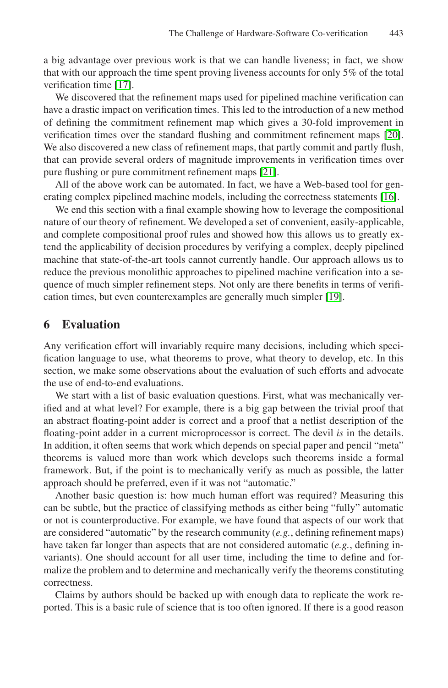a big advantage over previous work is that we can handle liveness; in fact, we show that with our approach the time [spe](#page-9-5)nt proving liveness accounts for only 5% of the total verification time [17].

We discovered that the refinement maps used for pipeline[d m](#page-9-6)achine verification can have a drastic impact on verification times. This led to the introduction of a new method of defining the commitment refinement map which gives a 30-fold improvement in verification times over the standard flushing and commitment refinement maps [20]. We also discovered a new class of refinement maps, that partly commit and partly flush, that can provide several orders of magnitude improvements in verification times over pure flushing or pure commitment refinement maps [21].

All of the above work can be automated. In fact, we have a Web-based tool for generating complex pipelined machine models, inc[ludi](#page-9-7)ng the correctness statements [16].

We end this section with a final example showing how to leverage the compositional nature of our theory of refinement. We developed a set of convenient, easily-applicable, and complete compositional proof rules and showed how this allows us to greatly extend the applicability of decision procedures by verifying a complex, deeply pipelined machine that state-of-the-art tools cannot currently handle. Our approach allows us to reduce the previous monolithic approaches to pipelined machine verification into a sequence of much simpler refinement steps. Not only are there benefits in terms of verification times, but even counterexamples are generally much simpler [19].

#### **6 Evaluation**

Any verification effort will invariably require many decisions, including which specification language to use, what theorems to prove, what theory to develop, etc. In this section, we make some observations about the evaluation of such efforts and advocate the use of end-to-end evaluations.

We start with a list of basic evaluation questions. First, what was mechanically verified and at what level? For example, there is a big gap between the trivial proof that an abstract floating-point adder is correct and a proof that a netlist description of the floating-point adder in a current microprocessor is correct. The devil *is* in the details. In addition, it often seems that work which depends on special paper and pencil "meta" theorems is valued more than work which develops such theorems inside a formal framework. But, if the point is to mechanically verify as much as possible, the latter approach should be preferred, even if it was not "automatic."

Another basic question is: how much human effort was required? Measuring this can be subtle, but the practice of classifying methods as either being "fully" automatic or not is counterproductive. For example, we have found that aspects of our work that are considered "automatic" by the research community (*e.g.*, defining refinement maps) have taken far longer than aspects that are not considered automatic (*e.g.*, defining invariants). One should account for all user time, including the time to define and formalize the problem and to determine and mechanically verify the theorems constituting correctness.

Claims by authors should be backed up with enough data to replicate the work reported. This is a basic rule of science that is too often ignored. If there is a good reason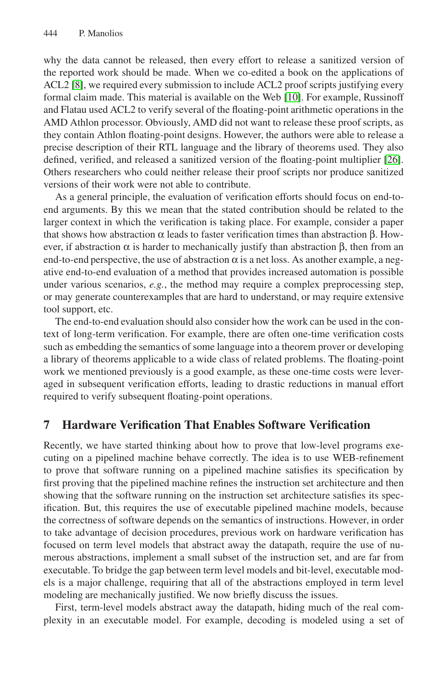why the data cannot be released, then every effort to relea[se a](#page-9-8) sanitized version of the reported work should be made. When we co-edited a book on the applications of ACL2 [8], we required every submission to include ACL2 proof scripts justifying every formal claim made. This material is available on the Web [10]. For example, Russinoff and Flatau used ACL2 to verify several of the floating-point arithmetic operations in the AMD Athlon processor. Obviously, AMD did not want to release these proof scripts, as they contain Athlon floating-point designs. However, the authors were able to release a precise description of their RTL language and the library of theorems used. They also defined, verified, and released a sanitized version of the floating-point multiplier [26]. Others researchers who could neither release their proof scripts nor produce sanitized versions of their work were not able to contribute.

As a general principle, the evaluation of verification efforts should focus on end-toend arguments. By this we mean that the stated contribution should be related to the larger context in which the verification is taking place. For example, consider a paper that shows how abstraction  $α$  leads to faster verification times than abstraction β. However, if abstraction  $\alpha$  is harder to mechanically justify than abstraction  $\beta$ , then from an end-to-end perspective, the use of abstraction  $\alpha$  is a net loss. As another example, a negative end-to-end evaluation of a method that provides increased automation is possible under various scenarios, *e.g.*, the method may require a complex preprocessing step, or may generate counterexamples that are hard to understand, or may require extensive tool support, etc.

The end-to-end evaluation should also consider how the work can be used in the context of long-term verification. For example, there are often one-time verification costs such as embedding the semantics of some language into a theorem prover or developing a library of theorems applicable to a wide class of related problems. The floating-point work we mentioned previously is a good example, as these one-time costs were leveraged in subsequent verification efforts, leading to drastic reductions in manual effort required to verify subsequent floating-point operations.

# **7 Hardware Verification That Enables Software Verification**

Recently, we have started thinking about how to prove that low-level programs executing on a pipelined machine behave correctly. The idea is to use WEB-refinement to prove that software running on a pipelined machine satisfies its specification by first proving that the pipelined machine refines the instruction set architecture and then showing that the software running on the instruction set architecture satisfies its specification. But, this requires the use of executable pipelined machine models, because the correctness of software depends on the semantics of instructions. However, in order to take advantage of decision procedures, previous work on hardware verification has focused on term level models that abstract away the datapath, require the use of numerous abstractions, implement a small subset of the instruction set, and are far from executable. To bridge the gap between term level models and bit-level, executable models is a major challenge, requiring that all of the abstractions employed in term level modeling are mechanically justified. We now briefly discuss the issues.

First, term-level models abstract away the datapath, hiding much of the real complexity in an executable model. For example, decoding is modeled using a set of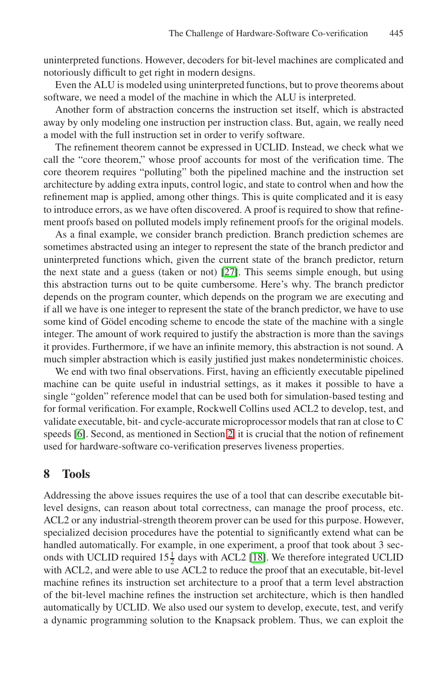uninterpreted functions. However, decoders for bit-level machines are complicated and notoriously difficult to get right in modern designs.

Even the ALU is modeled using uninterpreted functions, but to prove theorems about software, we need a model of the machine in which the ALU is interpreted.

Another form of abstraction concerns the instruction set itself, which is abstracted away by only modeling one instruction per instruction class. But, again, we really need a model with the full instruction set in order to verify software.

The refinement theorem cannot be expressed in UCLID. Instead, we check what we call the "core theorem," whose proof accounts for most of the verification time. The core theorem requires ["p](#page-9-9)olluting" both the pipelined machine and the instruction set architecture by adding extra inputs, control logic, and state to control when and how the refinement map is applied, among other things. This is quite complicated and it is easy to introduce errors, as we have often discovered. A proof is required to show that refinement proofs based on polluted models imply refinement proofs for the original models.

As a final example, we consider branch prediction. Branch prediction schemes are sometimes abstracted using an integer to represent the state of the branch predictor and uninterpreted functions which, given the current state of the branch predictor, return the next state and a guess (taken or not) [27]. This seems simple enough, but using this abstraction turns out to be quite cumbersome. Here's why. The branch predictor depends on the program counter, which depends on the program we are executing and if all we have is one integer to represent the state of the branch predictor, we have to use some kind of Gödel encoding scheme to encode the state of the machine with a single integer. The amount of [wo](#page-1-0)rk required to justify the abstraction is more than the savings it provides. Furthermore, if we have an infinite memory, this abstraction is not sound. A much simpler abstraction which is easily justified just makes nondeterministic choices.

<span id="page-7-0"></span>We end with two final observations. First, having an efficiently executable pipelined machine can be quite useful in industrial settings, as it makes it possible to have a single "golden" reference model that can be used both for simulation-based testing and for formal verification. For example, Rockwell Collins used ACL2 to develop, test, and validate executable, bit- and cycle-accurate microprocessor models that ran at close to C speeds [6]. Second, as mentioned in Section 2, it is crucial that the notion of refinement used for hardware-software co-verification preserves liveness properties.

## **8 Tools**

Addressing the above issues requires the use of a tool that can describe executable bitlevel designs, can reason about total correctness, can manage the proof process, etc. ACL2 or any industrial-strength theorem prover can be used for this purpose. However, specialized decision procedures have the potential to significantly extend what can be handled automatically. For example, in one experiment, a proof that took about 3 seconds with UCLID required  $15\frac{1}{2}$  days with ACL2 [18]. We therefore integrated UCLID with ACL2, and were able to use ACL2 to reduce the proof that an executable, bit-level machine refines its instruction set architecture to a proof that a term level abstraction of the bit-level machine refines the instruction set architecture, which is then handled automatically by UCLID. We also used our system to develop, execute, test, and verify a dynamic programming solution to the Knapsack problem. Thus, we can exploit the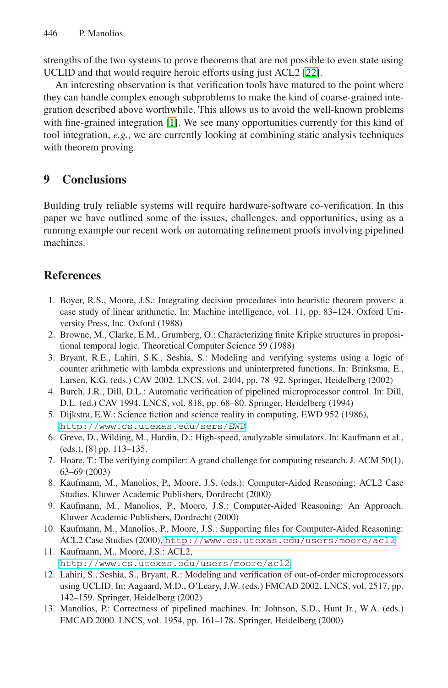<span id="page-8-1"></span>strengths of the two systems to prove theorems that are not possible to even state using UCLID and that would require heroic efforts using just ACL2 [22].

An interesting observation is that verification tools have matured to the point where they can handle complex enough subproblems to make the kind of coarse-grained integration described above worthwhile. This allows us to avoid the well-known problems with fine-grained integration [1]. We see many opportunities currently for this kind of tool integration, *e.g.*, we are currently looking at combining static analysis techniques with theorem proving.

# **9 Conclusions**

<span id="page-8-8"></span><span id="page-8-4"></span>Building truly reliable systems will require hardware-software co-verification. In this paper we have outlined some of the issues, challenges, and opportunities, using as a running example our recent work on automating refinement proofs involving pipelined machines.

## <span id="page-8-7"></span><span id="page-8-2"></span>**References**

- 1. Boyer, R.S., Moore, J.S.: Integrating decision procedures into heuristic theorem provers: a case study of linear arithmetic. In: Machine intelligence, vol. 11, pp. 83–124. Oxford University Press, Inc. Oxford (1988)
- [2.](http://www.cs.utexas.edu/sers/EWD) [Browne,](http://www.cs.utexas.edu/sers/EWD) [M.,](http://www.cs.utexas.edu/sers/EWD) [Clarke,](http://www.cs.utexas.edu/sers/EWD) [E.M.,](http://www.cs.utexas.edu/sers/EWD) Grumberg, O.: Characterizing finite Kripke structures in propositional temporal logic. Theoretical Computer Science 59 (1988)
- <span id="page-8-0"></span>3. Bryant, R.E., Lahiri, S.K., Seshia, S.: Modeling and verifying systems using a logic of counter arithmetic with lambda expressions and uninterpreted functions. In: Brinksma, E., Larsen, K.G. (eds.) CAV 2002. LNCS, vol. 2404, pp. 78–92. Springer, Heidelberg (2002)
- <span id="page-8-5"></span>4. Burch, J.R., Dill, D.L.: Automatic verification of pipelined microprocessor control. In: Dill, D.L. (ed.) CAV 1994. LNCS, vol. 818, pp. 68–80. Springer, Heidelberg (1994)
- 5. Dijkstra, E.W.: Science fiction and science reality in computing, EWD 952 (1986), http://www.cs.utexas.edu/sers/EWD
- <span id="page-8-6"></span>6. Gre[ve,](http://www.cs.utexas.edu/users/moore/acl2) [D.,](http://www.cs.utexas.edu/users/moore/acl2) [Wilding,](http://www.cs.utexas.edu/users/moore/acl2) [M.,](http://www.cs.utexas.edu/users/moore/acl2) [Hardin,](http://www.cs.utexas.edu/users/moore/acl2) [D.:](http://www.cs.utexas.edu/users/moore/acl2) [High-speed,](http://www.cs.utexas.edu/users/moore/acl2) [analyzable](http://www.cs.utexas.edu/users/moore/acl2) [simula](http://www.cs.utexas.edu/users/moore/acl2)tors. In: Kaufmann et al., (eds.), [8] pp. 113–135.
- 7. Hoare, T.: The verifying compiler: A grand challenge for computing research. J. ACM 50(1), [63–69](http://www.cs.utexas.edu/users/moore/acl2) [\(2003\)](http://www.cs.utexas.edu/users/moore/acl2)
- 8. Kaufmann, M., Manolios, P., Moore, J.S. (eds.): Computer-Aided Reasoning: ACL2 Case Studies. Kluwer Academic Publishers, Dordrecht (2000)
- 9. Kaufmann, M., Manolios, P., Moore, J.S.: Computer-Aided Reasoning: An Approach. Kluwer Academic Publishers, Dordrecht (2000)
- <span id="page-8-3"></span>10. Kaufmann, M., Manolios, P., Moore, J.S.: Supporting files for Computer-Aided Reasoning: ACL2 Case Studies (2000), http://www.cs.utexas.edu/users/moore/acl2
- 11. Kaufmann, M., Moore, J.S.: ACL2, http://www.cs.utexas.edu/users/moore/acl2
- 12. Lahiri, S., Seshia, S., Bryant, R.: Modeling and verification of out-of-order microprocessors using UCLID. In: Aagaard, M.D., O'Leary, J.W. (eds.) FMCAD 2002. LNCS, vol. 2517, pp. 142–159. Springer, Heidelberg (2002)
- 13. Manolios, P.: Correctness of pipelined machines. In: Johnson, S.D., Hunt Jr., W.A. (eds.) FMCAD 2000. LNCS, vol. 1954, pp. 161–178. Springer, Heidelberg (2000)